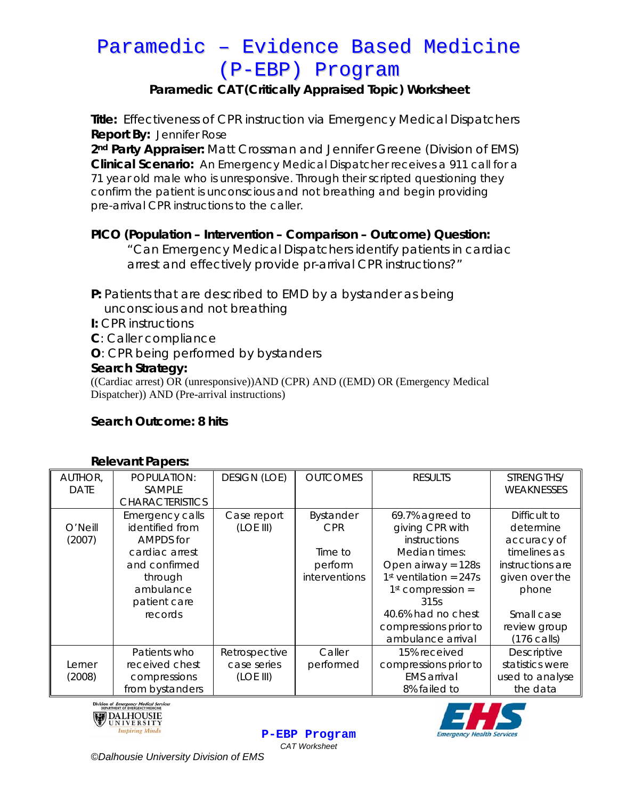# Paramedic – Evidence Based Medicine (P-EBP) Program

### **Paramedic CAT (Critically Appraised Topic) Worksheet**

**Title:** Effectiveness of CPR instruction via Emergency Medical Dispatchers **Report By:** Jennifer Rose

**2nd Party Appraiser:** Matt Crossman and Jennifer Greene (Division of EMS) **Clinical Scenario:** An Emergency Medical Dispatcher receives a 911 call for a 71 year old male who is unresponsive. Through their scripted questioning they confirm the patient is unconscious and not breathing and begin providing pre-arrival CPR instructions to the caller.

### **PICO (Population – Intervention – Comparison – Outcome) Question:**

*"Can Emergency Medical Dispatchers identify patients in cardiac arrest and effectively provide pr-arrival CPR instructions?"* 

**P:** Patients that are described to EMD by a bystander as being unconscious and not breathing

**I:** CPR instructions

- **C**: Caller compliance
- **O**: CPR being performed by bystanders

### **Search Strategy:**

((Cardiac arrest) OR (unresponsive))AND (CPR) AND ((EMD) OR (Emergency Medical Dispatcher)) AND (Pre-arrival instructions)

### **Search Outcome: 8 hits**

| <b>Relevant Papers:</b> |  |
|-------------------------|--|
|-------------------------|--|

| noio varit i apois. |                        |                     |                 |                          |                       |
|---------------------|------------------------|---------------------|-----------------|--------------------------|-----------------------|
| AUTHOR,             | POPULATION:            | <b>DESIGN (LOE)</b> | <b>OUTCOMES</b> | <b>RESULTS</b>           | STRENGTHS/            |
| <b>DATE</b>         | SAMPLE                 |                     |                 |                          | <b>WEAKNESSES</b>     |
|                     | <b>CHARACTERISTICS</b> |                     |                 |                          |                       |
|                     | Emergency calls        | Case report         | Bystander       | 69.7% agreed to          | Difficult to          |
| O'Neill             | identified from        | (LOE III)           | <b>CPR</b>      | giving CPR with          | determine             |
| (2007)              | AMPDS for              |                     |                 | instructions             | accuracy of           |
|                     | cardiac arrest         |                     | Time to         | Median times:            | timelines as          |
|                     | and confirmed          |                     | perform         | Open airway = $128s$     | instructions are      |
|                     | through                |                     | interventions   | $1st$ ventilation = 247s | given over the        |
|                     | ambulance              |                     |                 | $1st$ compression =      | phone                 |
|                     | patient care           |                     |                 | 315s                     |                       |
|                     | records                |                     |                 | 40.6% had no chest       | Small case            |
|                     |                        |                     |                 | compressions prior to    | review group          |
|                     |                        |                     |                 | ambulance arrival        | $(176 \text{ calls})$ |
|                     | Patients who           | Retrospective       | Caller          | 15% received             | Descriptive           |
| Lerner              | received chest         | case series         | performed       | compressions prior to    | statistics were       |
| (2008)              | compressions           | (LOE III)           |                 | <b>EMS</b> arrival       | used to analyse       |
|                     | from bystanders        |                     |                 | 8% failed to             | the data              |
|                     |                        |                     |                 |                          |                       |

**P-EBP Program** *CAT Worksheet* 





*©Dalhousie University Division of EMS*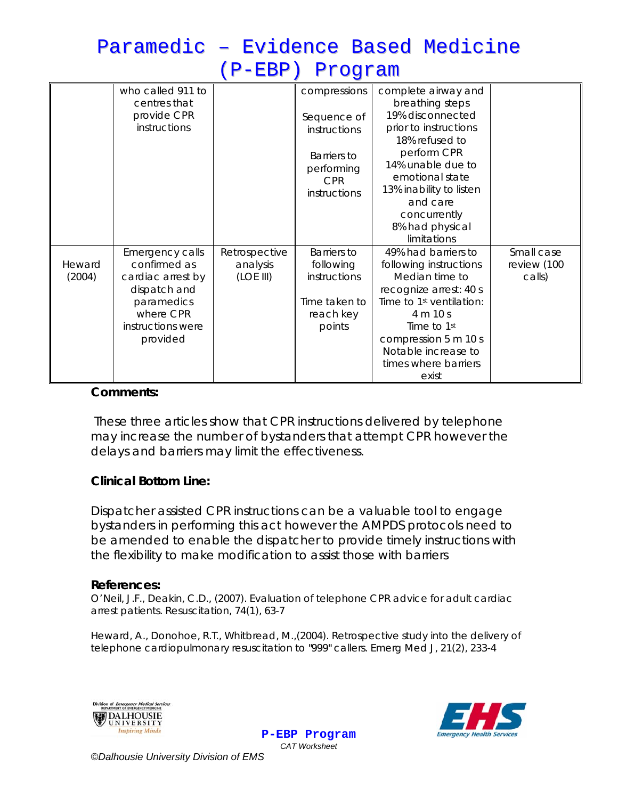# Paramedic – Evidence Based Medicine (P-EBP) Program

|                  | who called 911 to<br>centres that<br>provide CPR<br>instructions                                                                 |                                        | compressions<br>Sequence of<br>instructions<br><b>Barriers to</b><br>performing<br><b>CPR</b><br>instructions | complete airway and<br>breathing steps<br>19% disconnected<br>prior to instructions<br>18% refused to<br>perform CPR<br>14% unable due to<br>emotional state<br>13% inability to listen<br>and care<br>concurrently<br>8% had physical<br>limitations |                                     |
|------------------|----------------------------------------------------------------------------------------------------------------------------------|----------------------------------------|---------------------------------------------------------------------------------------------------------------|-------------------------------------------------------------------------------------------------------------------------------------------------------------------------------------------------------------------------------------------------------|-------------------------------------|
| Heward<br>(2004) | Emergency calls<br>confirmed as<br>cardiac arrest by<br>dispatch and<br>paramedics<br>where CPR<br>instructions were<br>provided | Retrospective<br>analysis<br>(LOE III) | <b>Barriers</b> to<br>following<br>instructions<br>Time taken to<br>reach key<br>points                       | 49% had barriers to<br>following instructions<br>Median time to<br>recognize arrest: 40 s<br>Time to 1st ventilation:<br>4 m 10 s<br>Time to 1st<br>compression 5 m 10 s<br>Notable increase to<br>times where barriers<br>exist                      | Small case<br>review (100<br>calls) |

#### **Comments:**

These three articles show that CPR instructions delivered by telephone may increase the number of bystanders that attempt CPR however the delays and barriers may limit the effectiveness.

#### **Clinical Bottom Line:**

Dispatcher assisted CPR instructions can be a valuable tool to engage bystanders in performing this act however the AMPDS protocols need to be amended to enable the dispatcher to provide timely instructions with the flexibility to make modification to assist those with barriers

#### **References:**

O'Neil, J.F., Deakin, C.D., (2007). Evaluation of telephone CPR advice for adult cardiac arrest patients. *Resuscitation,* 74(1), 63-7

Heward, A., Donohoe, R.T., Whitbread, M.,(2004). Retrospective study into the delivery of telephone cardiopulmonary resuscitation to "999" callers. *Emerg Med J*, 21(2), 233-4





**P-EBP Program** *CAT Worksheet*